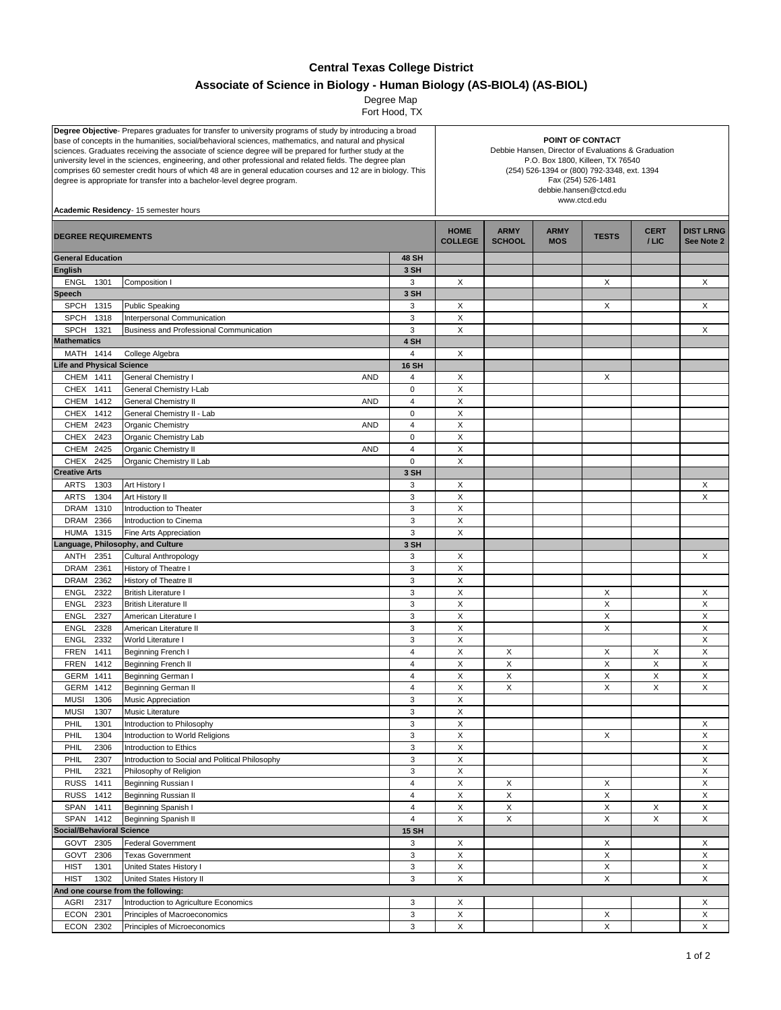## **Central Texas College District**

## **Associate of Science in Biology - Human Biology (AS-BIOL4) (AS-BIOL)**

 Fort Hood, TX Degree Map

| Degree Objective- Prepares graduates for transfer to university programs of study by introducing a broad<br>base of concepts in the humanities, social/behavioral sciences, mathematics, and natural and physical<br>sciences. Graduates receiving the associate of science degree will be prepared for further study at the<br>university level in the sciences, engineering, and other professional and related fields. The degree plan<br>comprises 60 semester credit hours of which 48 are in general education courses and 12 are in biology. This<br>degree is appropriate for transfer into a bachelor-level degree program.<br>Academic Residency- 15 semester hours |                                                                           |                             | POINT OF CONTACT<br>Debbie Hansen, Director of Evaluations & Graduation<br>P.O. Box 1800, Killeen, TX 76540<br>(254) 526-1394 or (800) 792-3348, ext. 1394<br>Fax (254) 526-1481<br>debbie.hansen@ctcd.edu<br>www.ctcd.edu |               |             |              |             |                  |
|-------------------------------------------------------------------------------------------------------------------------------------------------------------------------------------------------------------------------------------------------------------------------------------------------------------------------------------------------------------------------------------------------------------------------------------------------------------------------------------------------------------------------------------------------------------------------------------------------------------------------------------------------------------------------------|---------------------------------------------------------------------------|-----------------------------|----------------------------------------------------------------------------------------------------------------------------------------------------------------------------------------------------------------------------|---------------|-------------|--------------|-------------|------------------|
| <b>DEGREE REQUIREMENTS</b>                                                                                                                                                                                                                                                                                                                                                                                                                                                                                                                                                                                                                                                    |                                                                           |                             | <b>HOME</b>                                                                                                                                                                                                                | <b>ARMY</b>   | <b>ARMY</b> | <b>TESTS</b> | <b>CERT</b> | <b>DIST LRNG</b> |
| <b>General Education</b>                                                                                                                                                                                                                                                                                                                                                                                                                                                                                                                                                                                                                                                      |                                                                           | <b>48 SH</b>                | <b>COLLEGE</b>                                                                                                                                                                                                             | <b>SCHOOL</b> | <b>MOS</b>  |              | /LIC        | See Note 2       |
| <b>English</b>                                                                                                                                                                                                                                                                                                                                                                                                                                                                                                                                                                                                                                                                |                                                                           | 3 SH                        |                                                                                                                                                                                                                            |               |             |              |             |                  |
| <b>ENGL</b><br>1301                                                                                                                                                                                                                                                                                                                                                                                                                                                                                                                                                                                                                                                           | Composition I                                                             | 3                           | X                                                                                                                                                                                                                          |               |             | Χ            |             | X                |
| <b>Speech</b>                                                                                                                                                                                                                                                                                                                                                                                                                                                                                                                                                                                                                                                                 |                                                                           | 3 SH                        |                                                                                                                                                                                                                            |               |             |              |             |                  |
| <b>SPCH</b><br>1315                                                                                                                                                                                                                                                                                                                                                                                                                                                                                                                                                                                                                                                           | <b>Public Speaking</b>                                                    | 3                           | X                                                                                                                                                                                                                          |               |             | X            |             | X                |
| <b>SPCH</b><br>1318                                                                                                                                                                                                                                                                                                                                                                                                                                                                                                                                                                                                                                                           | Interpersonal Communication                                               | 3                           | X                                                                                                                                                                                                                          |               |             |              |             |                  |
| <b>SPCH</b><br>1321                                                                                                                                                                                                                                                                                                                                                                                                                                                                                                                                                                                                                                                           | Business and Professional Communication                                   | 3                           | X                                                                                                                                                                                                                          |               |             |              |             | X                |
| <b>Mathematics</b>                                                                                                                                                                                                                                                                                                                                                                                                                                                                                                                                                                                                                                                            |                                                                           | 4 SH                        |                                                                                                                                                                                                                            |               |             |              |             |                  |
| MATH 1414                                                                                                                                                                                                                                                                                                                                                                                                                                                                                                                                                                                                                                                                     | College Algebra                                                           | $\overline{4}$              | X                                                                                                                                                                                                                          |               |             |              |             |                  |
| <b>Life and Physical Science</b>                                                                                                                                                                                                                                                                                                                                                                                                                                                                                                                                                                                                                                              |                                                                           | <b>16 SH</b>                |                                                                                                                                                                                                                            |               |             |              |             |                  |
| CHEM 1411                                                                                                                                                                                                                                                                                                                                                                                                                                                                                                                                                                                                                                                                     | <b>General Chemistry I</b><br><b>AND</b>                                  | 4                           | X                                                                                                                                                                                                                          |               |             | X            |             |                  |
| 1411<br><b>CHEX</b>                                                                                                                                                                                                                                                                                                                                                                                                                                                                                                                                                                                                                                                           | General Chemistry I-Lab                                                   | $\pmb{0}$                   | X                                                                                                                                                                                                                          |               |             |              |             |                  |
| CHEM 1412                                                                                                                                                                                                                                                                                                                                                                                                                                                                                                                                                                                                                                                                     | General Chemistry II<br><b>AND</b>                                        | $\overline{4}$              | $\mathsf X$                                                                                                                                                                                                                |               |             |              |             |                  |
| <b>CHEX</b><br>1412                                                                                                                                                                                                                                                                                                                                                                                                                                                                                                                                                                                                                                                           | General Chemistry II - Lab                                                | $\mathbf 0$                 | X                                                                                                                                                                                                                          |               |             |              |             |                  |
| CHEM 2423                                                                                                                                                                                                                                                                                                                                                                                                                                                                                                                                                                                                                                                                     | <b>Organic Chemistry</b><br><b>AND</b>                                    | $\overline{4}$              | X                                                                                                                                                                                                                          |               |             |              |             |                  |
| CHEX<br>2423                                                                                                                                                                                                                                                                                                                                                                                                                                                                                                                                                                                                                                                                  | Organic Chemistry Lab                                                     | $\pmb{0}$<br>$\overline{4}$ | X<br>$\pmb{\times}$                                                                                                                                                                                                        |               |             |              |             |                  |
| CHEM 2425<br><b>CHEX</b>                                                                                                                                                                                                                                                                                                                                                                                                                                                                                                                                                                                                                                                      | Organic Chemistry II<br><b>AND</b>                                        | $\mathbf 0$                 | X                                                                                                                                                                                                                          |               |             |              |             |                  |
| 2425<br><b>Creative Arts</b>                                                                                                                                                                                                                                                                                                                                                                                                                                                                                                                                                                                                                                                  | Organic Chemistry II Lab                                                  | 3 SH                        |                                                                                                                                                                                                                            |               |             |              |             |                  |
| <b>ARTS</b><br>1303                                                                                                                                                                                                                                                                                                                                                                                                                                                                                                                                                                                                                                                           |                                                                           | 3                           |                                                                                                                                                                                                                            |               |             |              |             |                  |
| 1304<br><b>ARTS</b>                                                                                                                                                                                                                                                                                                                                                                                                                                                                                                                                                                                                                                                           | Art History I<br>Art History II                                           | 3                           | X<br>X                                                                                                                                                                                                                     |               |             |              |             | Х<br>X           |
| 1310<br><b>DRAM</b>                                                                                                                                                                                                                                                                                                                                                                                                                                                                                                                                                                                                                                                           | Introduction to Theater                                                   | 3                           | X                                                                                                                                                                                                                          |               |             |              |             |                  |
| 2366<br><b>DRAM</b>                                                                                                                                                                                                                                                                                                                                                                                                                                                                                                                                                                                                                                                           | Introduction to Cinema                                                    | 3                           | X                                                                                                                                                                                                                          |               |             |              |             |                  |
| 1315<br><b>HUMA</b>                                                                                                                                                                                                                                                                                                                                                                                                                                                                                                                                                                                                                                                           | Fine Arts Appreciation                                                    | 3                           | X                                                                                                                                                                                                                          |               |             |              |             |                  |
| anguage, Philosophy, and Culture                                                                                                                                                                                                                                                                                                                                                                                                                                                                                                                                                                                                                                              |                                                                           | 3 SH                        |                                                                                                                                                                                                                            |               |             |              |             |                  |
| 2351<br><b>ANTH</b>                                                                                                                                                                                                                                                                                                                                                                                                                                                                                                                                                                                                                                                           | Cultural Anthropology                                                     | 3                           | X                                                                                                                                                                                                                          |               |             |              |             | X                |
| <b>DRAM</b><br>2361                                                                                                                                                                                                                                                                                                                                                                                                                                                                                                                                                                                                                                                           | History of Theatre I                                                      | 3                           | X                                                                                                                                                                                                                          |               |             |              |             |                  |
| <b>DRAM</b><br>2362                                                                                                                                                                                                                                                                                                                                                                                                                                                                                                                                                                                                                                                           | History of Theatre II                                                     | 3                           | X                                                                                                                                                                                                                          |               |             |              |             |                  |
| 2322<br><b>ENGL</b>                                                                                                                                                                                                                                                                                                                                                                                                                                                                                                                                                                                                                                                           | <b>British Literature I</b>                                               | 3                           | $\mathsf X$                                                                                                                                                                                                                |               |             | X            |             | X                |
| 2323<br><b>ENGL</b>                                                                                                                                                                                                                                                                                                                                                                                                                                                                                                                                                                                                                                                           | <b>British Literature II</b>                                              | 3                           | X                                                                                                                                                                                                                          |               |             | X            |             | X                |
| <b>ENGL</b><br>2327                                                                                                                                                                                                                                                                                                                                                                                                                                                                                                                                                                                                                                                           | American Literature I                                                     | 3                           | X                                                                                                                                                                                                                          |               |             | Χ            |             | X                |
| 2328<br>ENGL                                                                                                                                                                                                                                                                                                                                                                                                                                                                                                                                                                                                                                                                  | American Literature II                                                    | 3                           | X                                                                                                                                                                                                                          |               |             | X            |             | X                |
| <b>ENGL</b><br>2332                                                                                                                                                                                                                                                                                                                                                                                                                                                                                                                                                                                                                                                           | World Literature                                                          | 3                           | $\mathsf X$                                                                                                                                                                                                                |               |             |              |             | X                |
| <b>FREN</b><br>1411                                                                                                                                                                                                                                                                                                                                                                                                                                                                                                                                                                                                                                                           | Beginning French I                                                        | $\overline{4}$              | X                                                                                                                                                                                                                          | X             |             | Х            | Х           | X                |
| 1412<br><b>FREN</b>                                                                                                                                                                                                                                                                                                                                                                                                                                                                                                                                                                                                                                                           | <b>Beginning French II</b>                                                | $\overline{4}$              | X                                                                                                                                                                                                                          | X             |             | X            | X           | X                |
| GERM<br>1411                                                                                                                                                                                                                                                                                                                                                                                                                                                                                                                                                                                                                                                                  | Beginning German I                                                        | 4                           | Χ                                                                                                                                                                                                                          | X             |             | X            | X           | X                |
| 1412<br>GERM                                                                                                                                                                                                                                                                                                                                                                                                                                                                                                                                                                                                                                                                  | Beginning German II                                                       | $\overline{4}$              | X                                                                                                                                                                                                                          | X             |             | X            | X           | X                |
| <b>MUSI</b><br>1306                                                                                                                                                                                                                                                                                                                                                                                                                                                                                                                                                                                                                                                           | <b>Music Appreciation</b>                                                 | 3                           | Х                                                                                                                                                                                                                          |               |             |              |             |                  |
| 1307<br><b>MUSI</b>                                                                                                                                                                                                                                                                                                                                                                                                                                                                                                                                                                                                                                                           | Music Literature                                                          | 3                           | $\mathsf X$                                                                                                                                                                                                                |               |             |              |             |                  |
| PHIL<br>1301                                                                                                                                                                                                                                                                                                                                                                                                                                                                                                                                                                                                                                                                  | Introduction to Philosophy                                                | 3                           | $\mathsf X$                                                                                                                                                                                                                |               |             |              |             | X                |
| PHIL<br>1304                                                                                                                                                                                                                                                                                                                                                                                                                                                                                                                                                                                                                                                                  | Introduction to World Religions                                           | $\mathbf{3}$                | X                                                                                                                                                                                                                          |               |             | X            |             | X                |
| PHIL<br>2306                                                                                                                                                                                                                                                                                                                                                                                                                                                                                                                                                                                                                                                                  | Introduction to Ethics                                                    | 3                           | $\mathsf X$                                                                                                                                                                                                                |               |             |              |             | $\mathsf X$      |
| PHIL<br>2307<br>2321<br>PHIL                                                                                                                                                                                                                                                                                                                                                                                                                                                                                                                                                                                                                                                  | Introduction to Social and Political Philosophy<br>Philosophy of Religion | 3<br>3                      | X<br>$\mathsf X$                                                                                                                                                                                                           |               |             |              |             | X<br>X           |
| <b>RUSS</b><br>1411                                                                                                                                                                                                                                                                                                                                                                                                                                                                                                                                                                                                                                                           | Beginning Russian I                                                       | $\overline{\mathbf{4}}$     | X                                                                                                                                                                                                                          | X             |             | X            |             | X                |
| <b>RUSS</b><br>1412                                                                                                                                                                                                                                                                                                                                                                                                                                                                                                                                                                                                                                                           | Beginning Russian II                                                      | $\overline{4}$              | $\mathsf X$                                                                                                                                                                                                                | X             |             | Χ            |             | X                |
| SPAN<br>1411                                                                                                                                                                                                                                                                                                                                                                                                                                                                                                                                                                                                                                                                  | Beginning Spanish I                                                       | 4                           | $\mathsf X$                                                                                                                                                                                                                | X             |             | X            | X           | X                |
| 1412<br>SPAN                                                                                                                                                                                                                                                                                                                                                                                                                                                                                                                                                                                                                                                                  | Beginning Spanish II                                                      | $\overline{4}$              | X                                                                                                                                                                                                                          | X             |             | Χ            | X           | X                |
| <b>Social/Behavioral Science</b>                                                                                                                                                                                                                                                                                                                                                                                                                                                                                                                                                                                                                                              |                                                                           | <b>15 SH</b>                |                                                                                                                                                                                                                            |               |             |              |             |                  |
| 2305<br>GOVT                                                                                                                                                                                                                                                                                                                                                                                                                                                                                                                                                                                                                                                                  | <b>Federal Government</b>                                                 | 3                           | X                                                                                                                                                                                                                          |               |             | X            |             | X                |
| 2306<br>GOVT                                                                                                                                                                                                                                                                                                                                                                                                                                                                                                                                                                                                                                                                  | <b>Texas Government</b>                                                   | 3                           | $\pmb{\times}$                                                                                                                                                                                                             |               |             | X            |             | X                |
| <b>HIST</b><br>1301                                                                                                                                                                                                                                                                                                                                                                                                                                                                                                                                                                                                                                                           | United States History I                                                   | 3                           | $\mathsf X$                                                                                                                                                                                                                |               |             | X            |             | X                |
| <b>HIST</b><br>1302                                                                                                                                                                                                                                                                                                                                                                                                                                                                                                                                                                                                                                                           | United States History II                                                  | 3                           | $\boldsymbol{\mathsf{X}}$                                                                                                                                                                                                  |               |             | Χ            |             | X                |
| And one course from the following:                                                                                                                                                                                                                                                                                                                                                                                                                                                                                                                                                                                                                                            |                                                                           |                             |                                                                                                                                                                                                                            |               |             |              |             |                  |
| 2317<br>AGRI                                                                                                                                                                                                                                                                                                                                                                                                                                                                                                                                                                                                                                                                  | Introduction to Agriculture Economics                                     | 3                           | X                                                                                                                                                                                                                          |               |             |              |             | X                |
| <b>ECON</b><br>2301                                                                                                                                                                                                                                                                                                                                                                                                                                                                                                                                                                                                                                                           | Principles of Macroeconomics                                              | 3                           | $\mathsf X$                                                                                                                                                                                                                |               |             | X            |             | X                |
| <b>ECON</b><br>2302                                                                                                                                                                                                                                                                                                                                                                                                                                                                                                                                                                                                                                                           | Principles of Microeconomics                                              | 3                           | X                                                                                                                                                                                                                          |               |             | X            |             | X                |